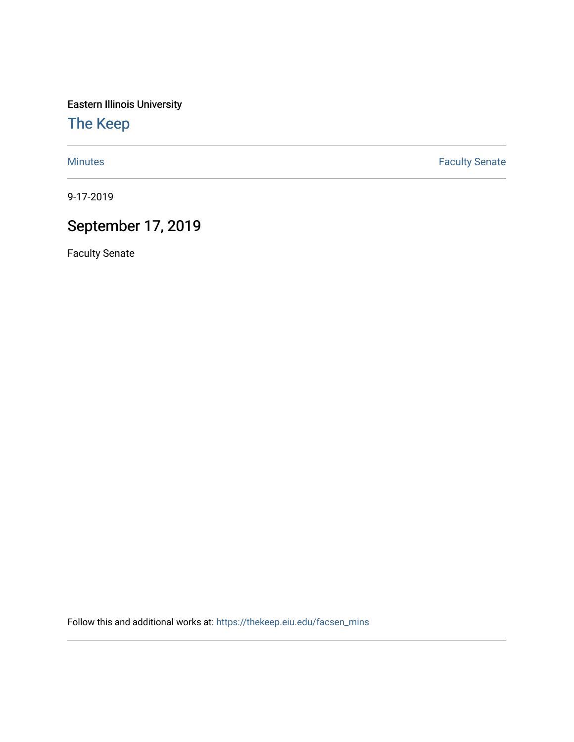Eastern Illinois University

[The Keep](https://thekeep.eiu.edu/) 

[Minutes](https://thekeep.eiu.edu/facsen_mins) **Faculty Senate** 

9-17-2019

## September 17, 2019

Faculty Senate

Follow this and additional works at: [https://thekeep.eiu.edu/facsen\\_mins](https://thekeep.eiu.edu/facsen_mins?utm_source=thekeep.eiu.edu%2Ffacsen_mins%2F1125&utm_medium=PDF&utm_campaign=PDFCoverPages)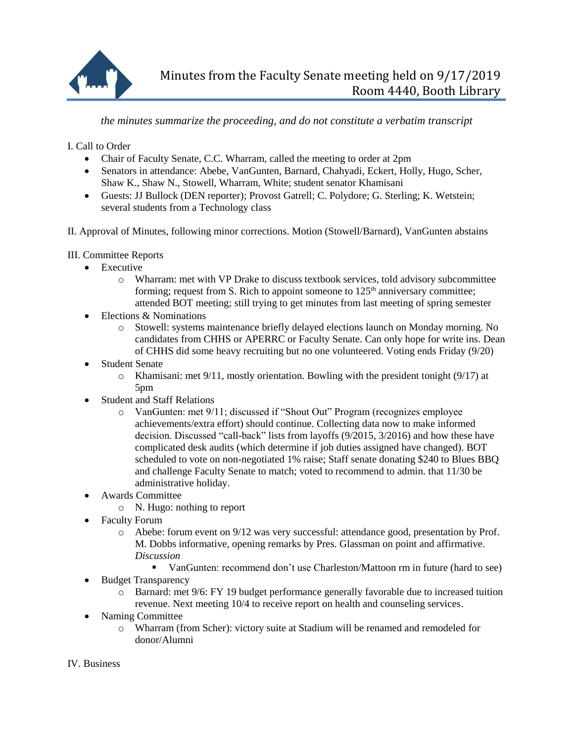

*the minutes summarize the proceeding, and do not constitute a verbatim transcript*

I. Call to Order

- Chair of Faculty Senate, C.C. Wharram, called the meeting to order at 2pm
- Senators in attendance: Abebe, VanGunten, Barnard, Chahyadi, Eckert, Holly, Hugo, Scher, Shaw K., Shaw N., Stowell, Wharram, White; student senator Khamisani
- Guests: JJ Bullock (DEN reporter); Provost Gatrell; C. Polydore; G. Sterling; K. Wetstein; several students from a Technology class
- II. Approval of Minutes, following minor corrections. Motion (Stowell/Barnard), VanGunten abstains

III. Committee Reports

- Executive
	- o Wharram: met with VP Drake to discuss textbook services, told advisory subcommittee forming; request from S. Rich to appoint someone to  $125<sup>th</sup>$  anniversary committee; attended BOT meeting; still trying to get minutes from last meeting of spring semester
- Elections & Nominations
	- o Stowell: systems maintenance briefly delayed elections launch on Monday morning. No candidates from CHHS or APERRC or Faculty Senate. Can only hope for write ins. Dean of CHHS did some heavy recruiting but no one volunteered. Voting ends Friday (9/20)
- Student Senate
	- $\circ$  Khamisani: met 9/11, mostly orientation. Bowling with the president tonight (9/17) at 5pm
- Student and Staff Relations
	- o VanGunten: met 9/11; discussed if "Shout Out" Program (recognizes employee achievements/extra effort) should continue. Collecting data now to make informed decision. Discussed "call-back" lists from layoffs (9/2015, 3/2016) and how these have complicated desk audits (which determine if job duties assigned have changed). BOT scheduled to vote on non-negotiated 1% raise; Staff senate donating \$240 to Blues BBQ and challenge Faculty Senate to match; voted to recommend to admin. that 11/30 be administrative holiday.
- Awards Committee
	- o N. Hugo: nothing to report
- Faculty Forum
	- o Abebe: forum event on 9/12 was very successful: attendance good, presentation by Prof. M. Dobbs informative, opening remarks by Pres. Glassman on point and affirmative. *Discussion*
		- VanGunten: recommend don't use Charleston/Mattoon rm in future (hard to see)
- Budget Transparency
	- o Barnard: met 9/6: FY 19 budget performance generally favorable due to increased tuition revenue. Next meeting 10/4 to receive report on health and counseling services.
- Naming Committee
	- o Wharram (from Scher): victory suite at Stadium will be renamed and remodeled for donor/Alumni

IV. Business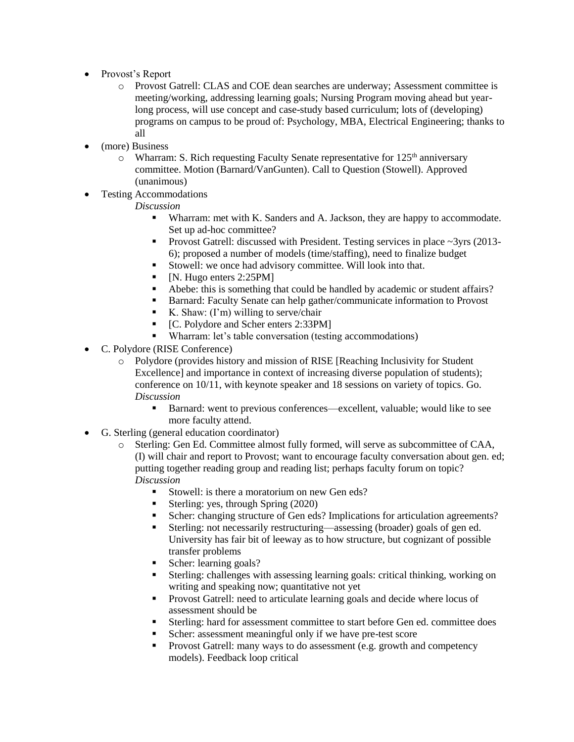- Provost's Report
	- o Provost Gatrell: CLAS and COE dean searches are underway; Assessment committee is meeting/working, addressing learning goals; Nursing Program moving ahead but yearlong process, will use concept and case-study based curriculum; lots of (developing) programs on campus to be proud of: Psychology, MBA, Electrical Engineering; thanks to all
- (more) Business
	- $\circ$  Wharram: S. Rich requesting Faculty Senate representative for 125<sup>th</sup> anniversary committee. Motion (Barnard/VanGunten). Call to Question (Stowell). Approved (unanimous)
- Testing Accommodations

## *Discussion*

- Wharram: met with K. Sanders and A. Jackson, they are happy to accommodate. Set up ad-hoc committee?
- **Provost Gatrell:** discussed with President. Testing services in place  $\sim$ 3yrs (2013-6); proposed a number of models (time/staffing), need to finalize budget
- Stowell: we once had advisory committee. Will look into that.
- $\blacksquare$  [N. Hugo enters 2:25PM]
- Abebe: this is something that could be handled by academic or student affairs?
- Barnard: Faculty Senate can help gather/communicate information to Provost
- K. Shaw:  $(I'm)$  willing to serve/chair
- [C. Polydore and Scher enters 2:33PM]
- Wharram: let's table conversation (testing accommodations)
- C. Polydore (RISE Conference)
	- o Polydore (provides history and mission of RISE [Reaching Inclusivity for Student Excellence] and importance in context of increasing diverse population of students); conference on 10/11, with keynote speaker and 18 sessions on variety of topics. Go. *Discussion*
		- Barnard: went to previous conferences—excellent, valuable; would like to see more faculty attend.
- G. Sterling (general education coordinator)
	- o Sterling: Gen Ed. Committee almost fully formed, will serve as subcommittee of CAA, (I) will chair and report to Provost; want to encourage faculty conversation about gen. ed; putting together reading group and reading list; perhaps faculty forum on topic? *Discussion*
		- Stowell: is there a moratorium on new Gen eds?
			- Sterling: yes, through Spring (2020)
		- Scher: changing structure of Gen eds? Implications for articulation agreements?
		- Sterling: not necessarily restructuring—assessing (broader) goals of gen ed. University has fair bit of leeway as to how structure, but cognizant of possible transfer problems
		- Scher: learning goals?
		- Sterling: challenges with assessing learning goals: critical thinking, working on writing and speaking now; quantitative not yet
		- **Provost Gatrell: need to articulate learning goals and decide where locus of** assessment should be
		- Sterling: hard for assessment committee to start before Gen ed. committee does
		- Scher: assessment meaningful only if we have pre-test score
		- Provost Gatrell: many ways to do assessment (e.g. growth and competency models). Feedback loop critical